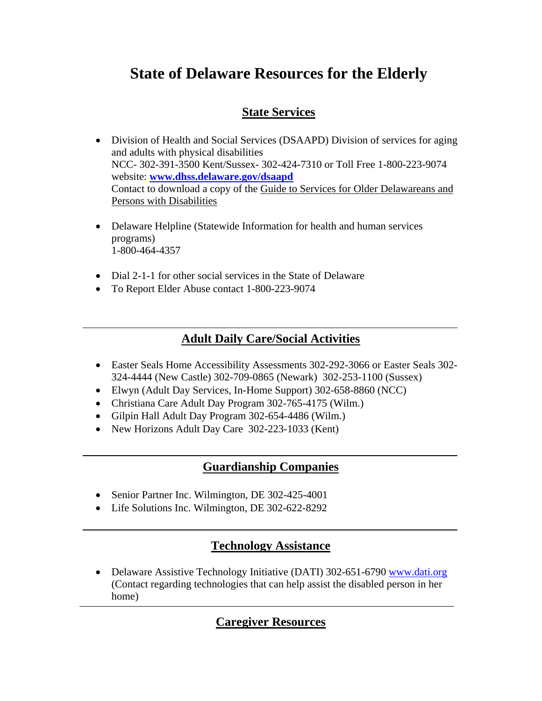# **State of Delaware Resources for the Elderly**

# **State Services**

- Division of Health and Social Services (DSAAPD) Division of services for aging and adults with physical disabilities NCC- 302-391-3500 Kent/Sussex- 302-424-7310 or Toll Free 1-800-223-9074 website: **www.dhss.delaware.gov/dsaapd**  Contact to download a copy of the Guide to Services for Older Delawareans and Persons with Disabilities
- Delaware Helpline (Statewide Information for health and human services programs) 1-800-464-4357
- Dial 2-1-1 for other social services in the State of Delaware
- To Report Elder Abuse contact 1-800-223-9074

## **Adult Daily Care/Social Activities**

- Easter Seals Home Accessibility Assessments 302-292-3066 or Easter Seals 302- 324-4444 (New Castle) 302-709-0865 (Newark) 302-253-1100 (Sussex)
- Elwyn (Adult Day Services, In-Home Support) 302-658-8860 (NCC)
- Christiana Care Adult Day Program 302-765-4175 (Wilm.)
- Gilpin Hall Adult Day Program 302-654-4486 (Wilm.)
- New Horizons Adult Day Care 302-223-1033 (Kent)

## **Guardianship Companies**

- Senior Partner Inc. Wilmington, DE 302-425-4001
- Life Solutions Inc. Wilmington, DE 302-622-8292

## **Technology Assistance**

• Delaware Assistive Technology Initiative (DATI) 302-651-6790 www.dati.org (Contact regarding technologies that can help assist the disabled person in her home)

## **Caregiver Resources**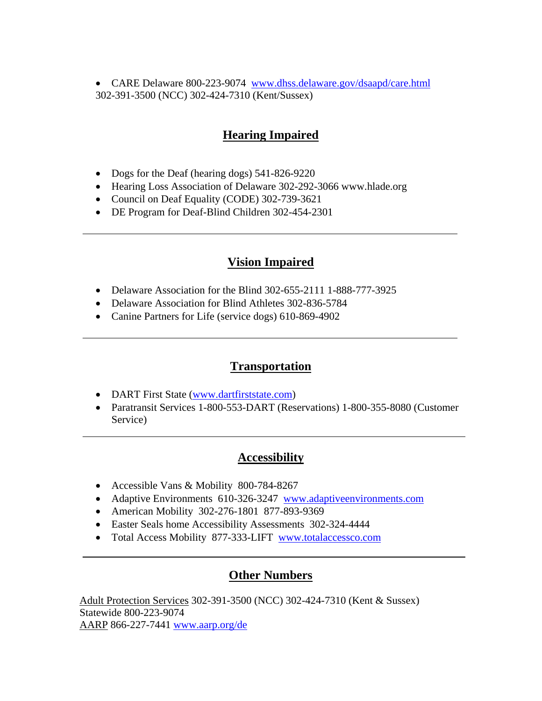• CARE Delaware 800-223-9074 www.dhss.delaware.gov/dsaapd/care.html 302-391-3500 (NCC) 302-424-7310 (Kent/Sussex)

## **Hearing Impaired**

- Dogs for the Deaf (hearing dogs) 541-826-9220
- Hearing Loss Association of Delaware 302-292-3066 www.hlade.org
- Council on Deaf Equality (CODE) 302-739-3621
- DE Program for Deaf-Blind Children 302-454-2301

# **Vision Impaired**

- Delaware Association for the Blind 302-655-2111 1-888-777-3925
- Delaware Association for Blind Athletes 302-836-5784
- Canine Partners for Life (service dogs) 610-869-4902

## **Transportation**

- DART First State (www.dartfirststate.com)
- Paratransit Services 1-800-553-DART (Reservations) 1-800-355-8080 (Customer Service)

## **Accessibility**

- Accessible Vans & Mobility 800-784-8267
- Adaptive Environments 610-326-3247 www.adaptiveenvironments.com
- American Mobility 302-276-1801 877-893-9369
- Easter Seals home Accessibility Assessments 302-324-4444
- Total Access Mobility 877-333-LIFT www.totalaccessco.com

## **Other Numbers**

Adult Protection Services 302-391-3500 (NCC) 302-424-7310 (Kent & Sussex) Statewide 800-223-9074 AARP 866-227-7441 www.aarp.org/de